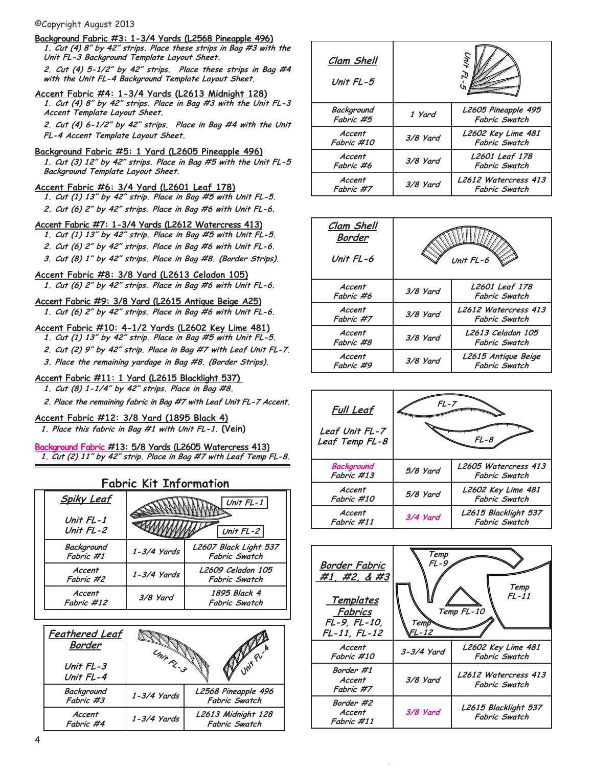## ©Copyright August 2013

- **Background Fabric #3: 1-3/4 Yards (L2568 Pineapple 496) 1. Cut (4) 8" by 42" strips. Place these strips in Bag #3 with the Unit FL-3 Background Template Layout Sheet. 2. Cut (4) 5-1/2" by 42" strips. Place these strips in Bag #4 with the Unit FL-4 Background Template Layout Sheet. Accent Fabric #4: 1-3/4 Yards (L2613 Midnight 128)**
- **1. Cut (4) 8" by 42" strips. Place in Bag #3 with the Unit FL-3 Accent Template Layout Sheet.**

**2. Cut (4) 6-1/2" by 42" strips. Place in Bag #4 with the Unit FL-4 Accent Template Layout Sheet.**

**Background Fabric #5: 1 Yard (L2605 Pineapple 496)**

**1. Cut (3) 12" by 42" strips. Place in Bag #5 with the Unit FL-5 Background Template Layout Sheet.**

- **Accent Fabric #6: 3/4 Yard (L2601 Leaf 178) 1. Cut (1) 13" by 42" strip. Place in Bag #5 with Unit FL-5. 2. Cut (6) 2" by 42" strips. Place in Bag #6 with Unit FL-6.**
- **Accent Fabric #7: 1-3/4 Yards (L2612 Watercress 413)**
- **1. Cut (1) 13" by 42" strip. Place in Bag #5 with Unit FL-5.**
- **2. Cut (6) 2" by 42" strips. Place in Bag #6 with Unit FL-6.**
- **3. Cut (8) 1" by 42" strips. Place in Bag #8. (Border Strips).**
- **Accent Fabric #8: 3/8 Yard (L2613 Celadon 105) 1. Cut (6) 2" by 42" strips. Place in Bag #6 with Unit FL-6.**
- **Accent Fabric #9: 3/8 Yard (L2615 Antique Beige A25) 1. Cut (6) 2" by 42" strips. Place in Bag #6 with Unit FL-6.**
- **Accent Fabric #10: 4-1/2 Yards (L2602 Key Lime 481)**
	- **1. Cut (1) 13" by 42" strip. Place in Bag #5 with Unit FL-5.**
	- **2. Cut (2) 9" by 42" strip. Place in Bag #7 with Leaf Unit FL-7.**
	- **3. Place the remaining yardage in Bag #8. (Border Strips).**
- **Accent Fabric #11: 1 Yard (L2615 Blacklight 537)** 
	- **1. Cut (8) 1-1/4" by 42" strips. Place in Bag #8.**

**2. Place the remaining fabric in Bag #7 with Leaf Unit FL-7 Accent.** 

**Accent Fabric #12: 3/8 Yard (1895 Black 4) 1. Place this fabric in Bag #1 with Unit FL-1. (Vein)**

**Background Fabric #13: 5/8 Yards (L2605 Watercress 413) 1. Cut (2) 11" by 42" strip. Place in Bag #7 with Leaf Temp FL-8.**

## **Fabric Kit Information**

| <b>Spiky Leaf</b>        |             | Unit $FL-1$                                   |  |  |  |
|--------------------------|-------------|-----------------------------------------------|--|--|--|
| Unit $FL-1$<br>Unit FL-2 |             | Unit $FL-2$                                   |  |  |  |
| Background<br>Fabric #1  | 1-3/4 Yards | L2607 Black Light 537<br><b>Fabric Swatch</b> |  |  |  |
| Accent<br>Fabric #2      | 1-3/4 Yards | L2609 Celadon 105<br><b>Fabric Swatch</b>     |  |  |  |
| Accent<br>Fabric #12     | 3/8 Yard    | 1895 Black 4<br><b>Fabric Swatch</b>          |  |  |  |

| <b>Feathered Leaf</b><br>Border<br>Unit FL-3<br>Unit FL-4 | Unix R_3<br>Unit FL |                                             |
|-----------------------------------------------------------|---------------------|---------------------------------------------|
| Background<br>Fabric #3                                   | 1-3/4 Yards         | L2568 Pineapple 496<br><b>Fabric Swatch</b> |
| Accent<br>Fabric #4                                       | 1-3/4 Yards         | L2613 Midnight 128<br><b>Fabric Swatch</b>  |

| Clam Shell<br>Unit FL-5 |          |                                             |
|-------------------------|----------|---------------------------------------------|
| Background<br>Fabric #5 | 1 Yard   | L2605 Pineapple 495<br><b>Fabric Swatch</b> |
| Accent<br>Fabric #10    | 3/8 Yard | L2602 Key Lime 481<br><b>Fabric Swatch</b>  |
| Accent<br>Fabric #6     | 3/8 Yard | L2601 Leaf 178<br><b>Fabric Swatch</b>      |
| Accent<br>Fabric #7     | 3/8 Yard | L2612 Watercress 413<br>Fabric Swatch       |

| Clam Shell<br>Border<br>Unit FL-6 | Unit $FL-6$ |                                             |
|-----------------------------------|-------------|---------------------------------------------|
| Accent<br>Fabric #6               | 3/8 Yard    | L2601 Leaf 178<br>Fabric Swatch             |
| Accent<br>Fabric #7               | 3/8 Yard    | L2612 Watercress 413<br>Fabric Swatch       |
| Accent<br>Fabric #8               | 3/8 Yard    | L2613 Celadon 105<br>Fabric Swatch          |
| Accent<br>Fabric #9               | 3/8 Yard    | L2615 Antique Beige<br><b>Fabric Swatch</b> |



| Border Fabric<br>#1, #2, & #3<br><u>Templates</u><br>Fabrics<br>FL-9, FL-10,<br>FL-11, FL-12 | Temp<br>FL-9<br>Temp<br>L-12 | Temp<br>$FL-11$<br>Temp FL-10         |
|----------------------------------------------------------------------------------------------|------------------------------|---------------------------------------|
| Accent<br>Fabric #10                                                                         | 3-3/4 Yard                   | L2602 Key Lime 481<br>Fabric Swatch   |
| Border #1<br>Accent<br>Fabric #7                                                             | 3/8 Yard                     | L2612 Watercress 413<br>Fabric Swatch |
| Border #2<br>Accent<br>Fabric #11                                                            | 3/8 Yard                     | L2615 Blacklight 537<br>Fabric Swatch |